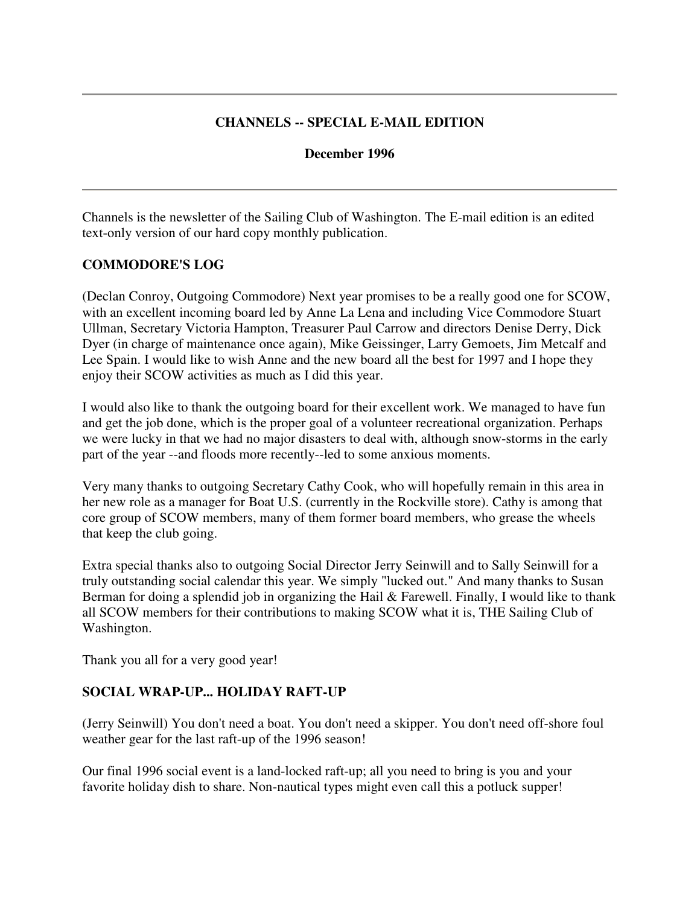## **CHANNELS -- SPECIAL E-MAIL EDITION**

#### **December 1996**

Channels is the newsletter of the Sailing Club of Washington. The E-mail edition is an edited text-only version of our hard copy monthly publication.

#### **COMMODORE'S LOG**

(Declan Conroy, Outgoing Commodore) Next year promises to be a really good one for SCOW, with an excellent incoming board led by Anne La Lena and including Vice Commodore Stuart Ullman, Secretary Victoria Hampton, Treasurer Paul Carrow and directors Denise Derry, Dick Dyer (in charge of maintenance once again), Mike Geissinger, Larry Gemoets, Jim Metcalf and Lee Spain. I would like to wish Anne and the new board all the best for 1997 and I hope they enjoy their SCOW activities as much as I did this year.

I would also like to thank the outgoing board for their excellent work. We managed to have fun and get the job done, which is the proper goal of a volunteer recreational organization. Perhaps we were lucky in that we had no major disasters to deal with, although snow-storms in the early part of the year --and floods more recently--led to some anxious moments.

Very many thanks to outgoing Secretary Cathy Cook, who will hopefully remain in this area in her new role as a manager for Boat U.S. (currently in the Rockville store). Cathy is among that core group of SCOW members, many of them former board members, who grease the wheels that keep the club going.

Extra special thanks also to outgoing Social Director Jerry Seinwill and to Sally Seinwill for a truly outstanding social calendar this year. We simply "lucked out." And many thanks to Susan Berman for doing a splendid job in organizing the Hail & Farewell. Finally, I would like to thank all SCOW members for their contributions to making SCOW what it is, THE Sailing Club of Washington.

Thank you all for a very good year!

#### **SOCIAL WRAP-UP... HOLIDAY RAFT-UP**

(Jerry Seinwill) You don't need a boat. You don't need a skipper. You don't need off-shore foul weather gear for the last raft-up of the 1996 season!

Our final 1996 social event is a land-locked raft-up; all you need to bring is you and your favorite holiday dish to share. Non-nautical types might even call this a potluck supper!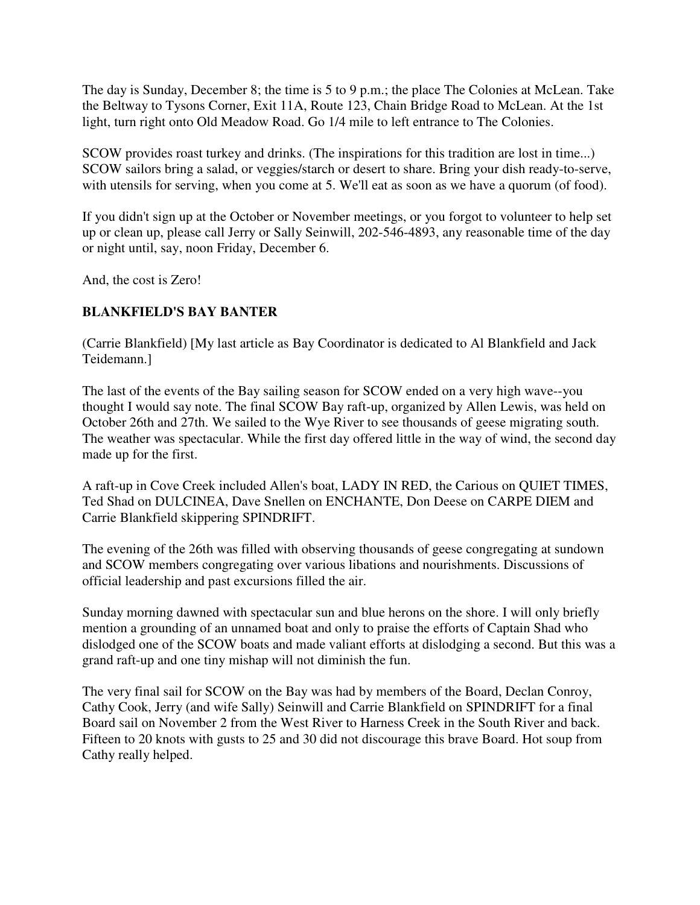The day is Sunday, December 8; the time is 5 to 9 p.m.; the place The Colonies at McLean. Take the Beltway to Tysons Corner, Exit 11A, Route 123, Chain Bridge Road to McLean. At the 1st light, turn right onto Old Meadow Road. Go 1/4 mile to left entrance to The Colonies.

SCOW provides roast turkey and drinks. (The inspirations for this tradition are lost in time...) SCOW sailors bring a salad, or veggies/starch or desert to share. Bring your dish ready-to-serve, with utensils for serving, when you come at 5. We'll eat as soon as we have a quorum (of food).

If you didn't sign up at the October or November meetings, or you forgot to volunteer to help set up or clean up, please call Jerry or Sally Seinwill, 202-546-4893, any reasonable time of the day or night until, say, noon Friday, December 6.

And, the cost is Zero!

## **BLANKFIELD'S BAY BANTER**

(Carrie Blankfield) [My last article as Bay Coordinator is dedicated to Al Blankfield and Jack Teidemann.]

The last of the events of the Bay sailing season for SCOW ended on a very high wave--you thought I would say note. The final SCOW Bay raft-up, organized by Allen Lewis, was held on October 26th and 27th. We sailed to the Wye River to see thousands of geese migrating south. The weather was spectacular. While the first day offered little in the way of wind, the second day made up for the first.

A raft-up in Cove Creek included Allen's boat, LADY IN RED, the Carious on QUIET TIMES, Ted Shad on DULCINEA, Dave Snellen on ENCHANTE, Don Deese on CARPE DIEM and Carrie Blankfield skippering SPINDRIFT.

The evening of the 26th was filled with observing thousands of geese congregating at sundown and SCOW members congregating over various libations and nourishments. Discussions of official leadership and past excursions filled the air.

Sunday morning dawned with spectacular sun and blue herons on the shore. I will only briefly mention a grounding of an unnamed boat and only to praise the efforts of Captain Shad who dislodged one of the SCOW boats and made valiant efforts at dislodging a second. But this was a grand raft-up and one tiny mishap will not diminish the fun.

The very final sail for SCOW on the Bay was had by members of the Board, Declan Conroy, Cathy Cook, Jerry (and wife Sally) Seinwill and Carrie Blankfield on SPINDRIFT for a final Board sail on November 2 from the West River to Harness Creek in the South River and back. Fifteen to 20 knots with gusts to 25 and 30 did not discourage this brave Board. Hot soup from Cathy really helped.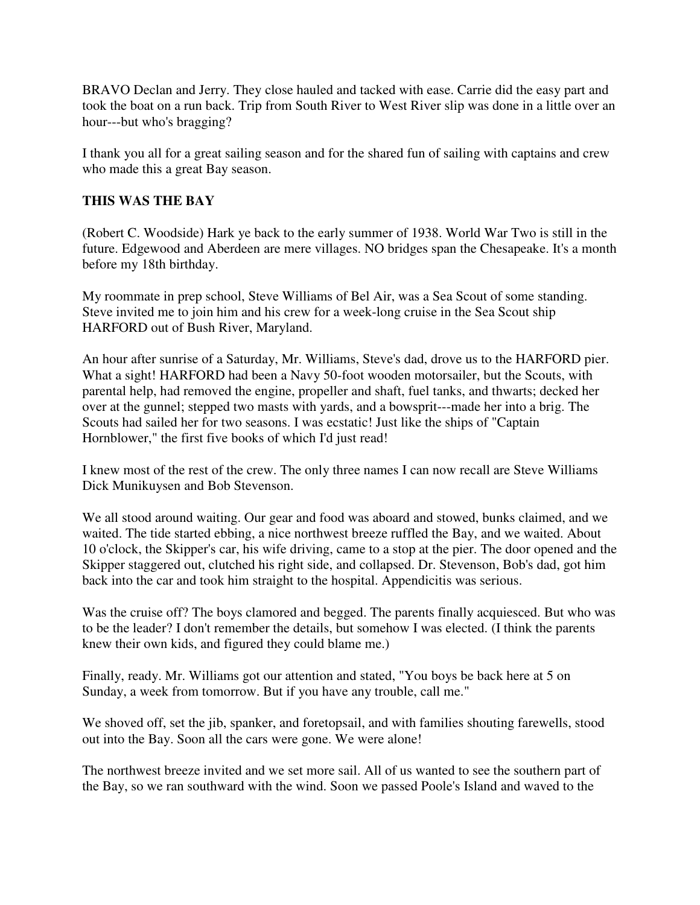BRAVO Declan and Jerry. They close hauled and tacked with ease. Carrie did the easy part and took the boat on a run back. Trip from South River to West River slip was done in a little over an hour---but who's bragging?

I thank you all for a great sailing season and for the shared fun of sailing with captains and crew who made this a great Bay season.

## **THIS WAS THE BAY**

(Robert C. Woodside) Hark ye back to the early summer of 1938. World War Two is still in the future. Edgewood and Aberdeen are mere villages. NO bridges span the Chesapeake. It's a month before my 18th birthday.

My roommate in prep school, Steve Williams of Bel Air, was a Sea Scout of some standing. Steve invited me to join him and his crew for a week-long cruise in the Sea Scout ship HARFORD out of Bush River, Maryland.

An hour after sunrise of a Saturday, Mr. Williams, Steve's dad, drove us to the HARFORD pier. What a sight! HARFORD had been a Navy 50-foot wooden motorsailer, but the Scouts, with parental help, had removed the engine, propeller and shaft, fuel tanks, and thwarts; decked her over at the gunnel; stepped two masts with yards, and a bowsprit---made her into a brig. The Scouts had sailed her for two seasons. I was ecstatic! Just like the ships of "Captain Hornblower," the first five books of which I'd just read!

I knew most of the rest of the crew. The only three names I can now recall are Steve Williams Dick Munikuysen and Bob Stevenson.

We all stood around waiting. Our gear and food was aboard and stowed, bunks claimed, and we waited. The tide started ebbing, a nice northwest breeze ruffled the Bay, and we waited. About 10 o'clock, the Skipper's car, his wife driving, came to a stop at the pier. The door opened and the Skipper staggered out, clutched his right side, and collapsed. Dr. Stevenson, Bob's dad, got him back into the car and took him straight to the hospital. Appendicitis was serious.

Was the cruise off? The boys clamored and begged. The parents finally acquiesced. But who was to be the leader? I don't remember the details, but somehow I was elected. (I think the parents knew their own kids, and figured they could blame me.)

Finally, ready. Mr. Williams got our attention and stated, "You boys be back here at 5 on Sunday, a week from tomorrow. But if you have any trouble, call me."

We shoved off, set the jib, spanker, and foretopsail, and with families shouting farewells, stood out into the Bay. Soon all the cars were gone. We were alone!

The northwest breeze invited and we set more sail. All of us wanted to see the southern part of the Bay, so we ran southward with the wind. Soon we passed Poole's Island and waved to the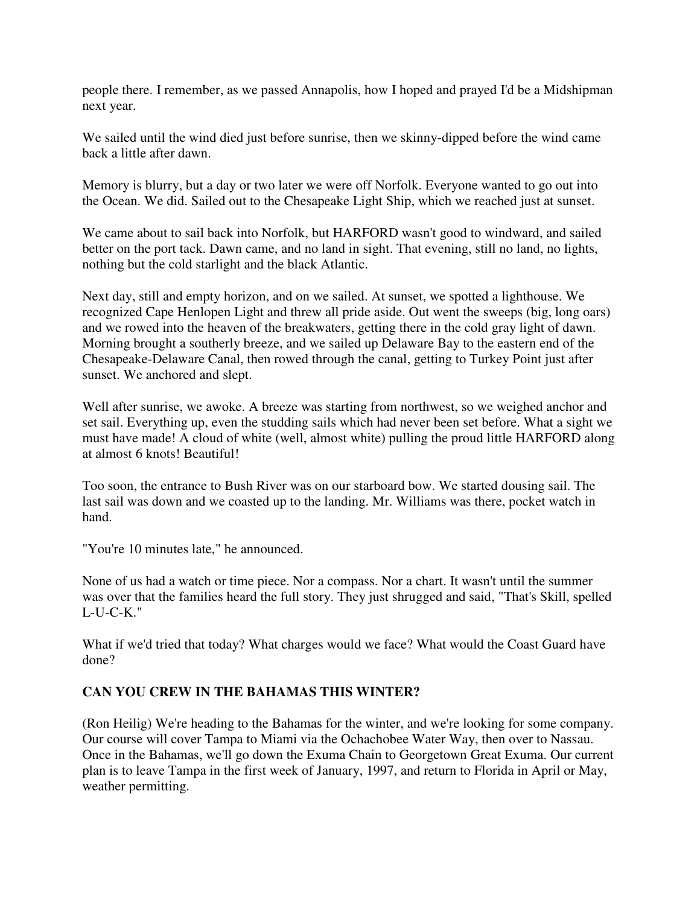people there. I remember, as we passed Annapolis, how I hoped and prayed I'd be a Midshipman next year.

We sailed until the wind died just before sunrise, then we skinny-dipped before the wind came back a little after dawn.

Memory is blurry, but a day or two later we were off Norfolk. Everyone wanted to go out into the Ocean. We did. Sailed out to the Chesapeake Light Ship, which we reached just at sunset.

We came about to sail back into Norfolk, but HARFORD wasn't good to windward, and sailed better on the port tack. Dawn came, and no land in sight. That evening, still no land, no lights, nothing but the cold starlight and the black Atlantic.

Next day, still and empty horizon, and on we sailed. At sunset, we spotted a lighthouse. We recognized Cape Henlopen Light and threw all pride aside. Out went the sweeps (big, long oars) and we rowed into the heaven of the breakwaters, getting there in the cold gray light of dawn. Morning brought a southerly breeze, and we sailed up Delaware Bay to the eastern end of the Chesapeake-Delaware Canal, then rowed through the canal, getting to Turkey Point just after sunset. We anchored and slept.

Well after sunrise, we awoke. A breeze was starting from northwest, so we weighed anchor and set sail. Everything up, even the studding sails which had never been set before. What a sight we must have made! A cloud of white (well, almost white) pulling the proud little HARFORD along at almost 6 knots! Beautiful!

Too soon, the entrance to Bush River was on our starboard bow. We started dousing sail. The last sail was down and we coasted up to the landing. Mr. Williams was there, pocket watch in hand.

"You're 10 minutes late," he announced.

None of us had a watch or time piece. Nor a compass. Nor a chart. It wasn't until the summer was over that the families heard the full story. They just shrugged and said, "That's Skill, spelled L-U-C-K."

What if we'd tried that today? What charges would we face? What would the Coast Guard have done?

# **CAN YOU CREW IN THE BAHAMAS THIS WINTER?**

(Ron Heilig) We're heading to the Bahamas for the winter, and we're looking for some company. Our course will cover Tampa to Miami via the Ochachobee Water Way, then over to Nassau. Once in the Bahamas, we'll go down the Exuma Chain to Georgetown Great Exuma. Our current plan is to leave Tampa in the first week of January, 1997, and return to Florida in April or May, weather permitting.